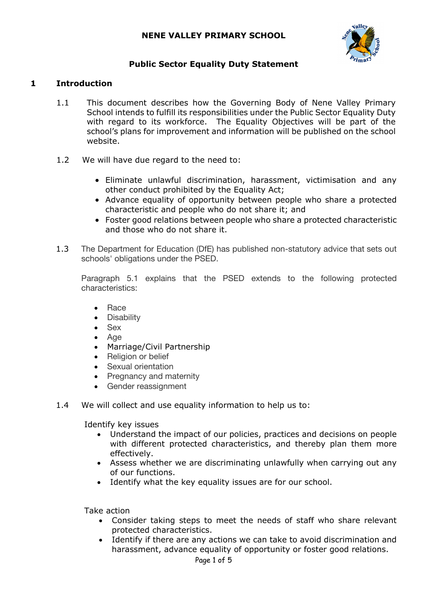## **NENE VALLEY PRIMARY SCHOOL**



## **Public Sector Equality Duty Statement**

#### **1 Introduction**

- 1.1 This document describes how the Governing Body of Nene Valley Primary School intends to fulfill its responsibilities under the Public Sector Equality Duty with regard to its workforce. The Equality Objectives will be part of the school's plans for improvement and information will be published on the school website.
- 1.2 We will have due regard to the need to:
	- Eliminate unlawful discrimination, harassment, victimisation and any other conduct prohibited by the Equality Act;
	- Advance equality of opportunity between people who share a protected characteristic and people who do not share it; and
	- Foster good relations between people who share a protected characteristic and those who do not share it.
- 1.3 The Department for Education (DfE) has published non-statutory advice that sets out schools' obligations under the PSED.

Paragraph 5.1 explains that the PSED extends to the following protected characteristics:

- Race
- **Disability**
- Sex
- Age
- Marriage/Civil Partnership
- Religion or belief
- Sexual orientation
- Pregnancy and maternity
- Gender reassignment
- 1.4 We will collect and use equality information to help us to:

Identify key issues

- Understand the impact of our policies, practices and decisions on people with different protected characteristics, and thereby plan them more effectively.
- Assess whether we are discriminating unlawfully when carrying out any of our functions.
- Identify what the key equality issues are for our school.

Take action

- Consider taking steps to meet the needs of staff who share relevant protected characteristics.
- Identify if there are any actions we can take to avoid discrimination and harassment, advance equality of opportunity or foster good relations.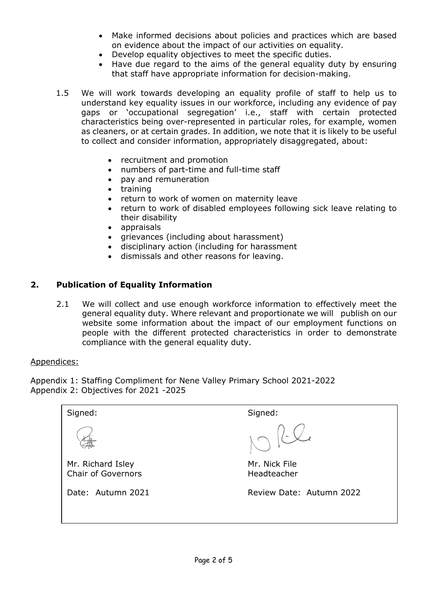- Make informed decisions about policies and practices which are based on evidence about the impact of our activities on equality.
- Develop equality objectives to meet the specific duties.
- Have due regard to the aims of the general equality duty by ensuring that staff have appropriate information for decision-making.
- 1.5 We will work towards developing an equality profile of staff to help us to understand key equality issues in our workforce, including any evidence of pay gaps or 'occupational segregation' i.e., staff with certain protected characteristics being over-represented in particular roles, for example, women as cleaners, or at certain grades. In addition, we note that it is likely to be useful to collect and consider information, appropriately disaggregated, about:
	- recruitment and promotion
	- numbers of part-time and full-time staff
	- pay and remuneration
	- training
	- return to work of women on maternity leave
	- return to work of disabled employees following sick leave relating to their disability
	- appraisals
	- grievances (including about harassment)
	- disciplinary action (including for harassment
	- dismissals and other reasons for leaving.

## **2. Publication of Equality Information**

2.1 We will collect and use enough workforce information to effectively meet the general equality duty. Where relevant and proportionate we will publish on our website some information about the impact of our employment functions on people with the different protected characteristics in order to demonstrate compliance with the general equality duty.

#### Appendices:

Appendix 1: Staffing Compliment for Nene Valley Primary School 2021-2022 Appendix 2: Objectives for 2021 -2025

| Signed:                                        | Signed:                      |
|------------------------------------------------|------------------------------|
|                                                | 1012                         |
| Mr. Richard Isley<br><b>Chair of Governors</b> | Mr. Nick File<br>Headteacher |
| Date: Autumn 2021                              | Review Date: Autumn 2022     |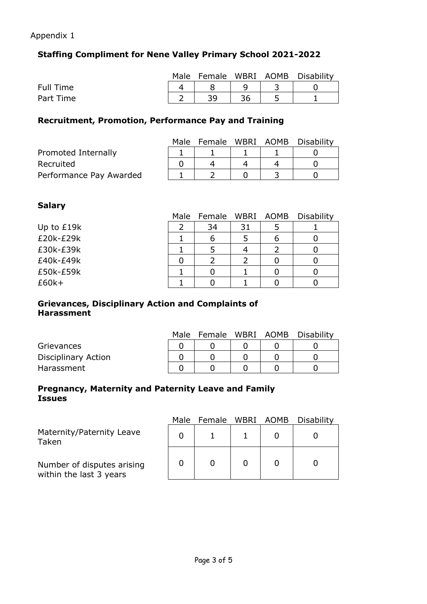### Appendix 1

# **Staffing Compliment for Nene Valley Primary School 2021-2022**

|           |    |  | Male Female WBRI AOMB Disability |
|-----------|----|--|----------------------------------|
| Full Time |    |  |                                  |
| Part Time | 30 |  |                                  |

# **Recruitment, Promotion, Performance Pay and Training**

|                         | Male | Female WBRI AOMB |  | Disability |
|-------------------------|------|------------------|--|------------|
| Promoted Internally     |      |                  |  |            |
| Recruited               |      |                  |  |            |
| Performance Pay Awarded |      |                  |  |            |

# **Salary**

| ------     |      |                  |    |   |                   |
|------------|------|------------------|----|---|-------------------|
|            | Male | Female WBRI AOMB |    |   | <b>Disability</b> |
| Up to £19k |      | 34               | 31 |   |                   |
| £20k-£29k  |      | b                |    | 6 |                   |
| £30k-£39k  |      |                  |    |   |                   |
| £40k-£49k  |      |                  |    |   |                   |
| £50k-£59k  |      |                  |    |   |                   |
| $£60k+$    |      |                  |    |   |                   |

### **Grievances, Disciplinary Action and Complaints of Harassment**

|                     | Male |  | Female WBRI AOMB Disability |
|---------------------|------|--|-----------------------------|
| Grievances          |      |  |                             |
| Disciplinary Action |      |  |                             |
| Harassment          |      |  |                             |

### **Pregnancy, Maternity and Paternity Leave and Family Issues**

|                                                       | Male | Female WBRI AOMB |  | Disability |
|-------------------------------------------------------|------|------------------|--|------------|
| Maternity/Paternity Leave<br>Taken                    |      |                  |  |            |
| Number of disputes arising<br>within the last 3 years |      |                  |  |            |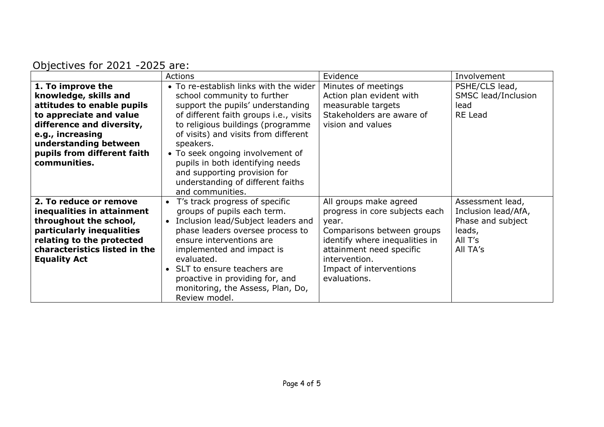| Objectives for 2021 -2025 are: |  |
|--------------------------------|--|
|--------------------------------|--|

|                               | <b>Actions</b>                                  | Evidence                       | Involvement         |
|-------------------------------|-------------------------------------------------|--------------------------------|---------------------|
| 1. To improve the             | • To re-establish links with the wider          | Minutes of meetings            | PSHE/CLS lead,      |
| knowledge, skills and         | school community to further                     | Action plan evident with       | SMSC lead/Inclusion |
| attitudes to enable pupils    | support the pupils' understanding               | measurable targets             | lead                |
| to appreciate and value       | of different faith groups i.e., visits          | Stakeholders are aware of      | <b>RE</b> Lead      |
| difference and diversity,     | to religious buildings (programme               | vision and values              |                     |
| e.g., increasing              | of visits) and visits from different            |                                |                     |
| understanding between         | speakers.                                       |                                |                     |
| pupils from different faith   | • To seek ongoing involvement of                |                                |                     |
| communities.                  | pupils in both identifying needs                |                                |                     |
|                               | and supporting provision for                    |                                |                     |
|                               | understanding of different faiths               |                                |                     |
|                               | and communities.                                |                                |                     |
| 2. To reduce or remove        | T's track progress of specific                  | All groups make agreed         | Assessment lead,    |
| inequalities in attainment    | groups of pupils each term.                     | progress in core subjects each | Inclusion lead/AfA, |
| throughout the school,        | Inclusion lead/Subject leaders and<br>$\bullet$ | year.                          | Phase and subject   |
| particularly inequalities     | phase leaders oversee process to                | Comparisons between groups     | leads,              |
| relating to the protected     | ensure interventions are                        | identify where inequalities in | All T's             |
| characteristics listed in the | implemented and impact is                       | attainment need specific       | All TA's            |
| <b>Equality Act</b>           | evaluated.                                      | intervention.                  |                     |
|                               | SLT to ensure teachers are<br>$\bullet$         | Impact of interventions        |                     |
|                               | proactive in providing for, and                 | evaluations.                   |                     |
|                               | monitoring, the Assess, Plan, Do,               |                                |                     |
|                               | Review model.                                   |                                |                     |